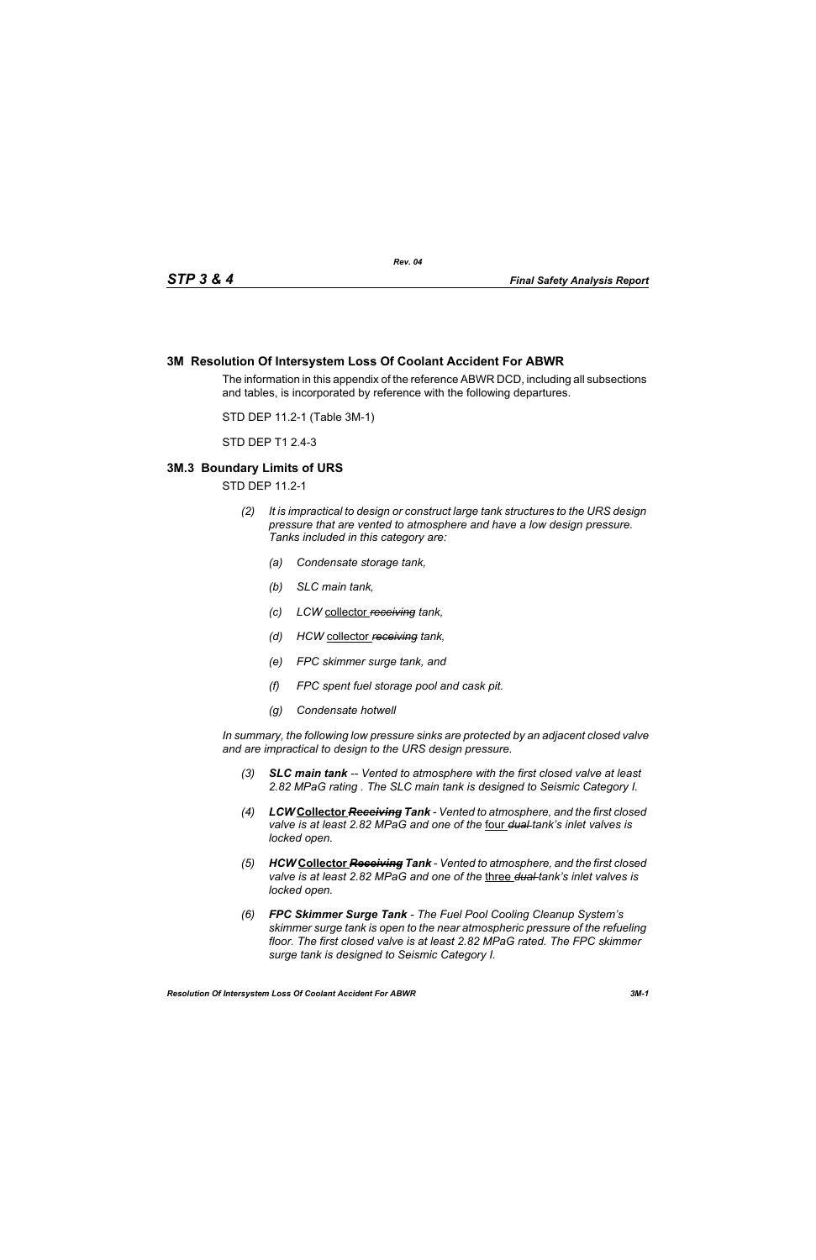## **3M Resolution Of Intersystem Loss Of Coolant Accident For ABWR**

The information in this appendix of the reference ABWR DCD, including all subsections and tables, is incorporated by reference with the following departures.

STD DEP 11.2-1 (Table 3M-1)

STD DEP T1 2.4-3

## **3M.3 Boundary Limits of URS**

STD DEP 11.2-1

- *(2) It is impractical to design or construct large tank structures to the URS design pressure that are vented to atmosphere and have a low design pressure. Tanks included in this category are:*
	- *(a) Condensate storage tank,*
	- *(b) SLC main tank,*
	- *(c) LCW* collector *receiving tank,*
	- *(d) HCW* collector *receiving tank,*
	- *(e) FPC skimmer surge tank, and*
	- *(f) FPC spent fuel storage pool and cask pit.*
	- *(g) Condensate hotwell*

*In summary, the following low pressure sinks are protected by an adjacent closed valve and are impractical to design to the URS design pressure.*

- *(3) SLC main tank -- Vented to atmosphere with the first closed valve at least 2.82 MPaG rating . The SLC main tank is designed to Seismic Category I.*
- *(4) LCW* **Collector** *Receiving Tank Vented to atmosphere, and the first closed valve is at least 2.82 MPaG and one of the* four *dual tank's inlet valves is locked open.*
- *(5) HCW* **Collector** *Receiving Tank Vented to atmosphere, and the first closed valve is at least 2.82 MPaG and one of the* three *dual tank's inlet valves is locked open.*
- *(6) FPC Skimmer Surge Tank The Fuel Pool Cooling Cleanup System's skimmer surge tank is open to the near atmospheric pressure of the refueling floor. The first closed valve is at least 2.82 MPaG rated. The FPC skimmer surge tank is designed to Seismic Category I.*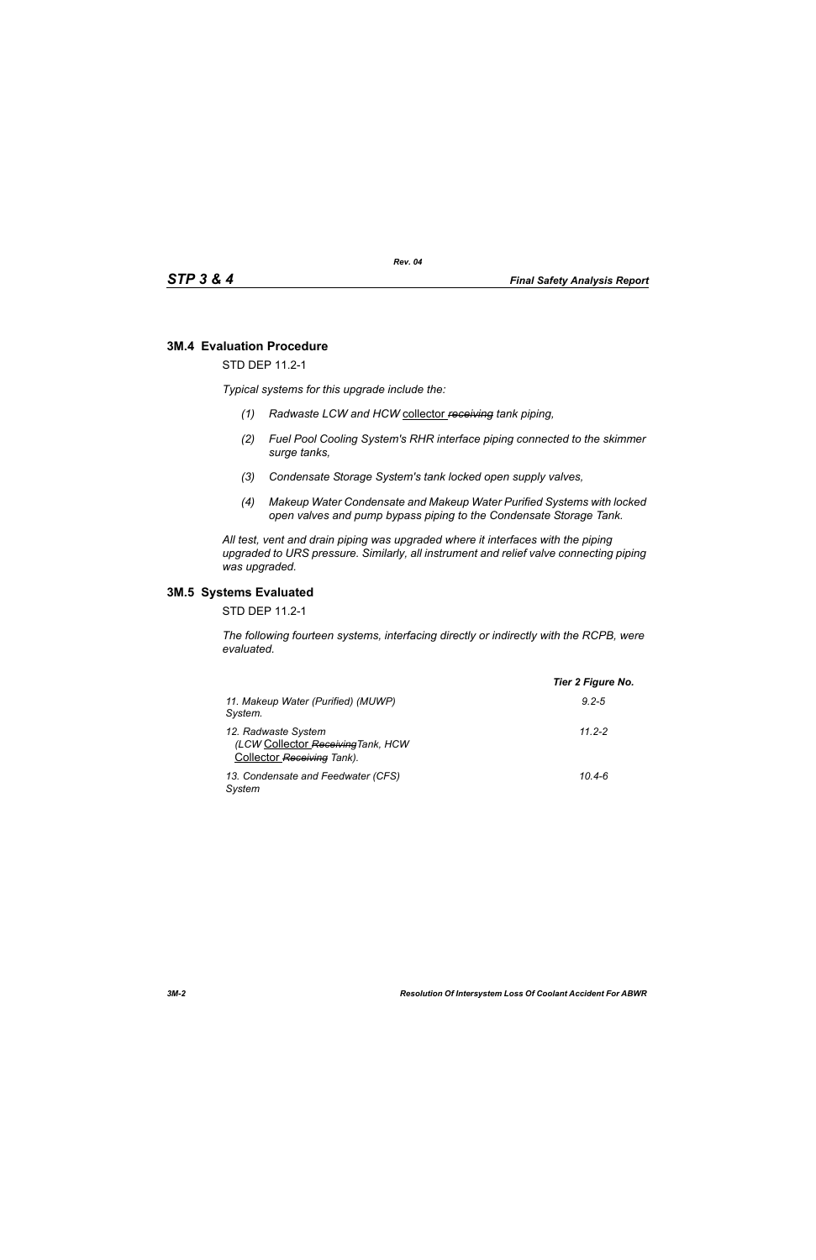# **3M.4 Evaluation Procedure**

STD DEP 11.2-1

*Typical systems for this upgrade include the:*

- *(1) Radwaste LCW and HCW* collector *receiving tank piping,*
- *(2) Fuel Pool Cooling System's RHR interface piping connected to the skimmer surge tanks,*
- *(3) Condensate Storage System's tank locked open supply valves,*
- *(4) Makeup Water Condensate and Makeup Water Purified Systems with locked open valves and pump bypass piping to the Condensate Storage Tank.*

*All test, vent and drain piping was upgraded where it interfaces with the piping upgraded to URS pressure. Similarly, all instrument and relief valve connecting piping was upgraded.*

### **3M.5 Systems Evaluated**

STD DEP 11.2-1

*The following fourteen systems, interfacing directly or indirectly with the RCPB, were evaluated.*

|                                                                                         | Tier 2 Figure No. |
|-----------------------------------------------------------------------------------------|-------------------|
| 11. Makeup Water (Purified) (MUWP)<br>System.                                           | $9.2 - 5$         |
| 12. Radwaste System<br>(LCW Collector Receiving Tank, HCW<br>Collector Receiving Tank). | 11 2-2            |
| 13. Condensate and Feedwater (CFS)<br>System                                            | $10.4 - 6$        |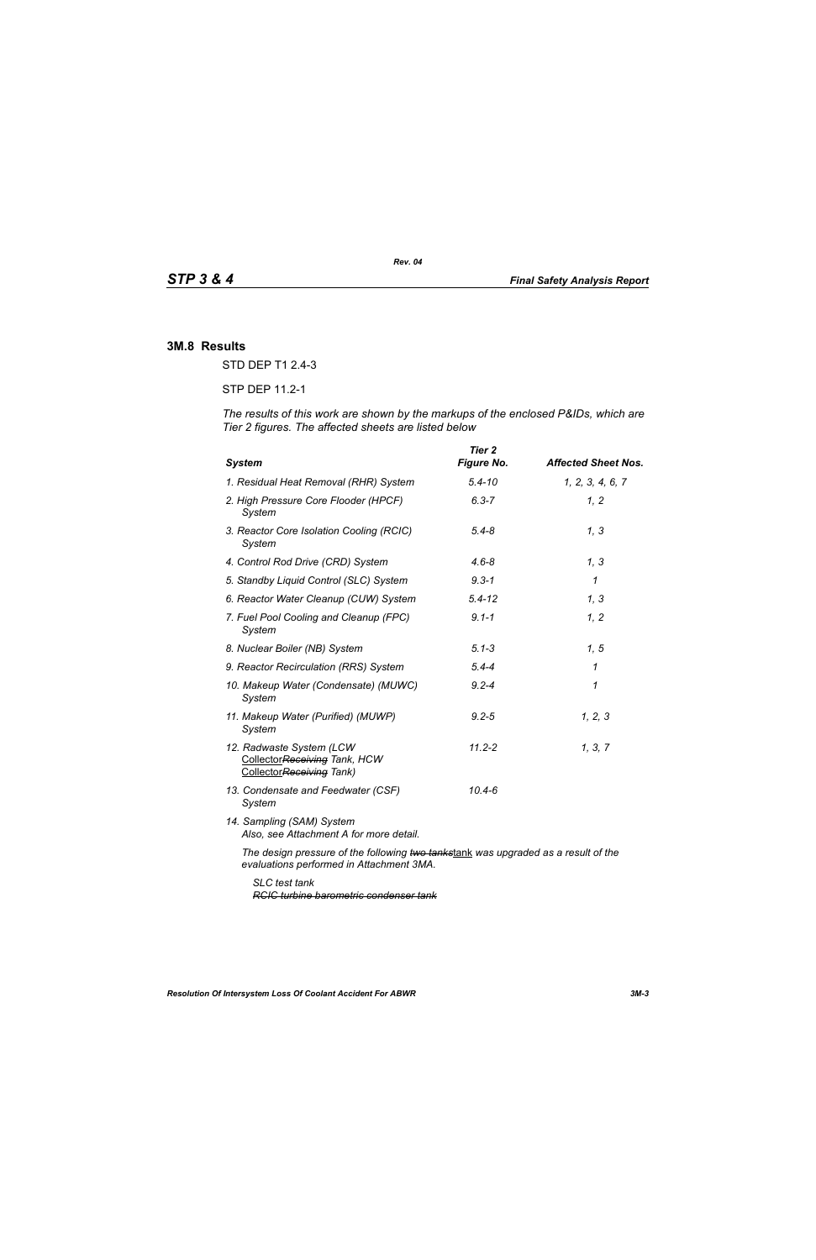#### **3M.8 Results**

STD DEP T1 2.4-3

STP DEP 11.2-1

*The results of this work are shown by the markups of the enclosed P&IDs, which are Tier 2 figures. The affected sheets are listed below*

| <b>System</b>                                                                        | Tier 2<br><b>Figure No.</b> | <b>Affected Sheet Nos.</b> |
|--------------------------------------------------------------------------------------|-----------------------------|----------------------------|
| 1. Residual Heat Removal (RHR) System                                                | $5.4 - 10$                  | 1, 2, 3, 4, 6, 7           |
| 2. High Pressure Core Flooder (HPCF)<br>System                                       | $6.3 - 7$                   | 1, 2                       |
| 3. Reactor Core Isolation Cooling (RCIC)<br>System                                   | $5.4 - 8$                   | 1, 3                       |
| 4. Control Rod Drive (CRD) System                                                    | $4.6 - 8$                   | 1, 3                       |
| 5. Standby Liquid Control (SLC) System                                               | $9.3 - 1$                   | 1                          |
| 6. Reactor Water Cleanup (CUW) System                                                | $5.4 - 12$                  | 1, 3                       |
| 7. Fuel Pool Cooling and Cleanup (FPC)<br>System                                     | $9.1 - 1$                   | 1, 2                       |
| 8. Nuclear Boiler (NB) System                                                        | $5.1 - 3$                   | 1, 5                       |
| 9. Reactor Recirculation (RRS) System                                                | $5.4 - 4$                   | 1                          |
| 10. Makeup Water (Condensate) (MUWC)<br>System                                       | $9.2 - 4$                   | 1                          |
| 11. Makeup Water (Purified) (MUWP)<br>System                                         | $9.2 - 5$                   | 1, 2, 3                    |
| 12. Radwaste System (LCW<br>CollectorReceiving Tank, HCW<br>CollectorReceiving Tank) | $11.2 - 2$                  | 1, 3, 7                    |
| 13. Condensate and Feedwater (CSF)<br>System                                         | $10.4 - 6$                  |                            |
| 14. Sampling (SAM) System<br>Also, see Attachment A for more detail.                 |                             |                            |
| The design pressure of the following two tankstank was upgraded as a result of the   |                             |                            |

*evaluations performed in Attachment 3MA.*

*SLC test tank RCIC turbine barometric condenser tank*